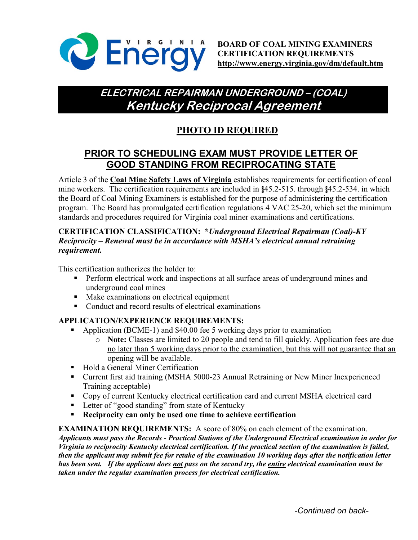

# **ELECTRICAL REPAIRMAN UNDERGROUND – (COAL) Kentucky Reciprocal Agreement**

# **PHOTO ID REQUIRED**

## **PRIOR TO SCHEDULING EXAM MUST PROVIDE LETTER OF GOOD STANDING FROM RECIPROCATING STATE**

Article 3 of the **Coal Mine Safety Laws of Virginia** establishes requirements for certification of coal mine workers. The certification requirements are included in §45.2-515. through §45.2-534. in which the Board of Coal Mining Examiners is established for the purpose of administering the certification program. The Board has promulgated certification regulations 4 VAC 25-20, which set the minimum standards and procedures required for Virginia coal miner examinations and certifications.

### **CERTIFICATION CLASSIFICATION: \****Underground Electrical Repairman (Coal)-KY Reciprocity – Renewal must be in accordance with MSHA's electrical annual retraining requirement.*

This certification authorizes the holder to:

- **Perform electrical work and inspections at all surface areas of underground mines and** underground coal mines
- Make examinations on electrical equipment
- Conduct and record results of electrical examinations

### **APPLICATION/EXPERIENCE REQUIREMENTS:**

- Application (BCME-1) and \$40.00 fee 5 working days prior to examination
	- o **Note:** Classes are limited to 20 people and tend to fill quickly. Application fees are due no later than 5 working days prior to the examination, but this will not guarantee that an opening will be available.
- **Hold a General Miner Certification**
- Current first aid training (MSHA 5000-23 Annual Retraining or New Miner Inexperienced Training acceptable)
- Copy of current Kentucky electrical certification card and current MSHA electrical card
- Letter of "good standing" from state of Kentucky
- **Reciprocity can only be used one time to achieve certification**

#### **EXAMINATION REQUIREMENTS:** A score of 80% on each element of the examination.

*Applicants must pass the Records - Practical Stations of the Underground Electrical examination in order for Virginia to reciprocity Kentucky electrical certification. If the practical section of the examination is failed, then the applicant may submit fee for retake of the examination 10 working days after the notification letter has been sent. If the applicant does not pass on the second try, the entire electrical examination must be taken under the regular examination process for electrical certification.*